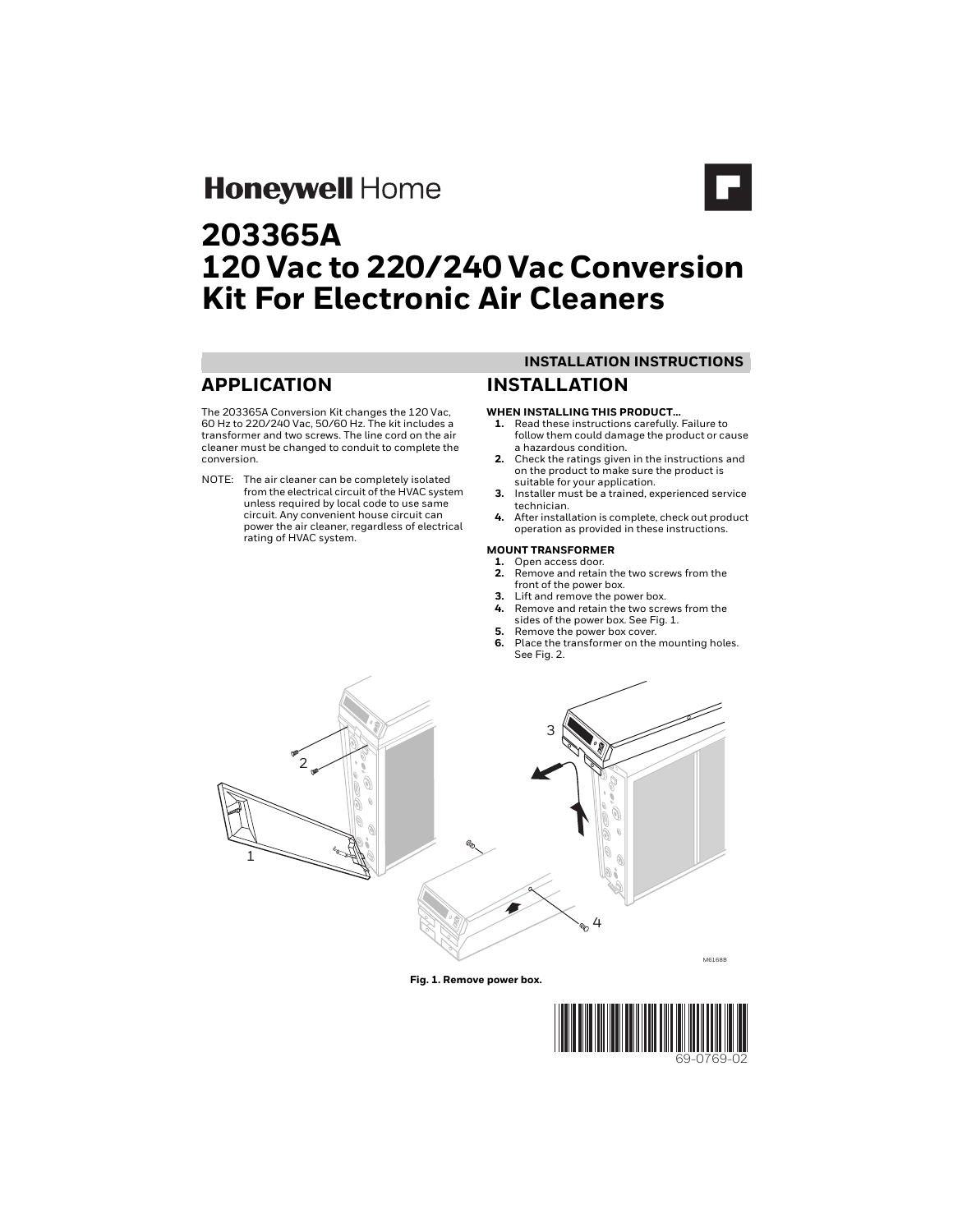# **Honeywell Home**



# **203365A 120 Vac to 220/240 Vac Conversion Kit For Electronic Air Cleaners**

# **APPLICATION**

The 203365A Conversion Kit changes the 120 Vac, 60 Hz to 220/240 Vac, 50/60 Hz. The kit includes a transformer and two screws. The line cord on the air cleaner must be changed to conduit to complete the conversion.

NOTE: The air cleaner can be completely isolated from the electrical circuit of the HVAC system unless required by local code to use same circuit. Any convenient house circuit can power the air cleaner, regardless of electrical rating of HVAC system.

# **INSTALLATION INSTRUCTIONS INSTALLATION**

## **WHEN INSTALLING THIS PRODUCT…**

- **1.** Read these instructions carefully. Failure to follow them could damage the product or cause a hazardous condition.
- **2.** Check the ratings given in the instructions and on the product to make sure the product is suitable for your application.
- **3.** Installer must be a trained, experienced service technician.
- **4.** After installation is complete, check out product operation as provided in these instructions.

### **MOUNT TRANSFORMER**

- **1.** Open access door.
- **2.** Remove and retain the two screws from the front of the power box.
- 
- **3.** Lift and remove the power box. **4.** Remove and retain the two screws from the sides of the power box. See [Fig. 1.](#page-0-0)
- **5.** Remove the power box cover.
- **6.** Place the transformer on the mounting holes. See [Fig. 2](#page-1-0).

<span id="page-0-0"></span>

**Fig. 1. Remove power box.**

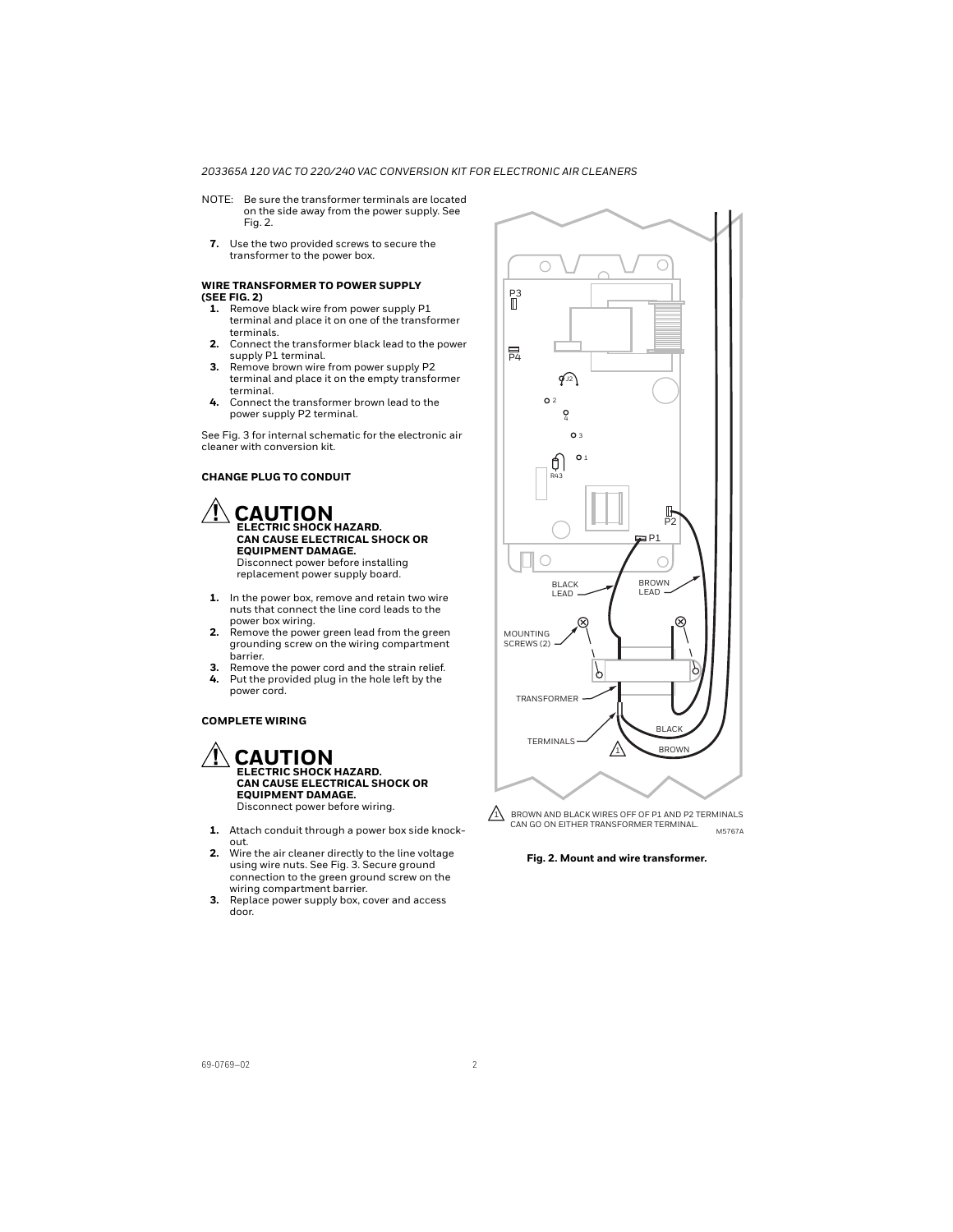### 203365A 120 VAC TO 220/240 VAC CONVERSION KIT FOR ELECTRONIC AIR CLEANERS

- NOTE: Be sure the transformer terminals are located on the side away from the power supply. See [Fig. 2](#page-1-0).
	- **7.** Use the two provided screws to secure the transformer to the power box.

#### **WIRE TRANSFORMER TO POWER SUPPLY (SEE [FIG. 2](#page-1-0))**

- **1.** Remove black wire from power supply P1 terminal and place it on one of the transformer terminals.
- **2.** Connect the transformer black lead to the power supply P1 terminal.
- **3.** Remove brown wire from power supply P2 terminal and place it on the empty transformer terminal.
- **4.** Connect the transformer brown lead to the power supply P2 terminal.

See [Fig. 3](#page-2-0) for internal schematic for the electronic air cleaner with conversion kit.

# **CHANGE PLUG TO CONDUIT**

# **CAUTION ELECTRIC SHOCK HAZARD. CAN CAUSE ELECTRICAL SHOCK OR EQUIPMENT DAMAGE.**

Disconnect power before installing replacement power supply board.

- **1.** In the power box, remove and retain two wire nuts that connect the line cord leads to the power box wiring.
- **2.** Remove the power green lead from the green grounding screw on the wiring compartment barrier.
- **3.** Remove the power cord and the strain relief.
- **4.** Put the provided plug in the hole left by the power cord.

# **COMPLETE WIRING**



- **1.** Attach conduit through a power box side knockout.
- **2.** Wire the air cleaner directly to the line voltage using wire nuts. See [Fig. 3.](#page-2-0) Secure ground connection to the green ground screw on the wiring compartment barrier.
- **3.** Replace power supply box, cover and access door.



<span id="page-1-0"></span>M5767A  $\sqrt{1}$  BROWN AND BLACK WIRES OFF OF P1 AND P2 TERMINALS CAN GO ON EITHER TRANSFORMER TERMINAL.

**Fig. 2. Mount and wire transformer.**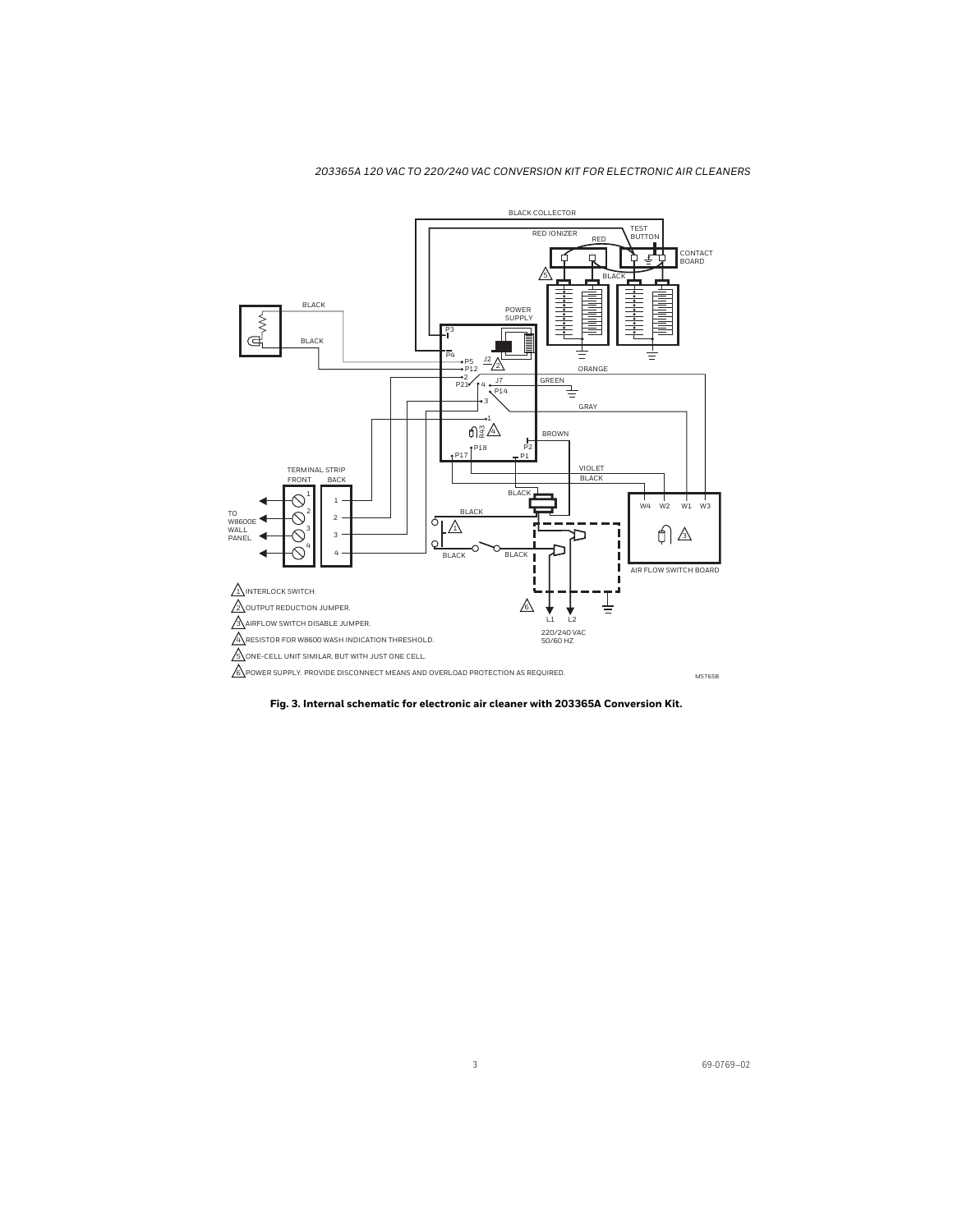

<span id="page-2-0"></span>**Fig. 3. Internal schematic for electronic air cleaner with 203365A Conversion Kit.**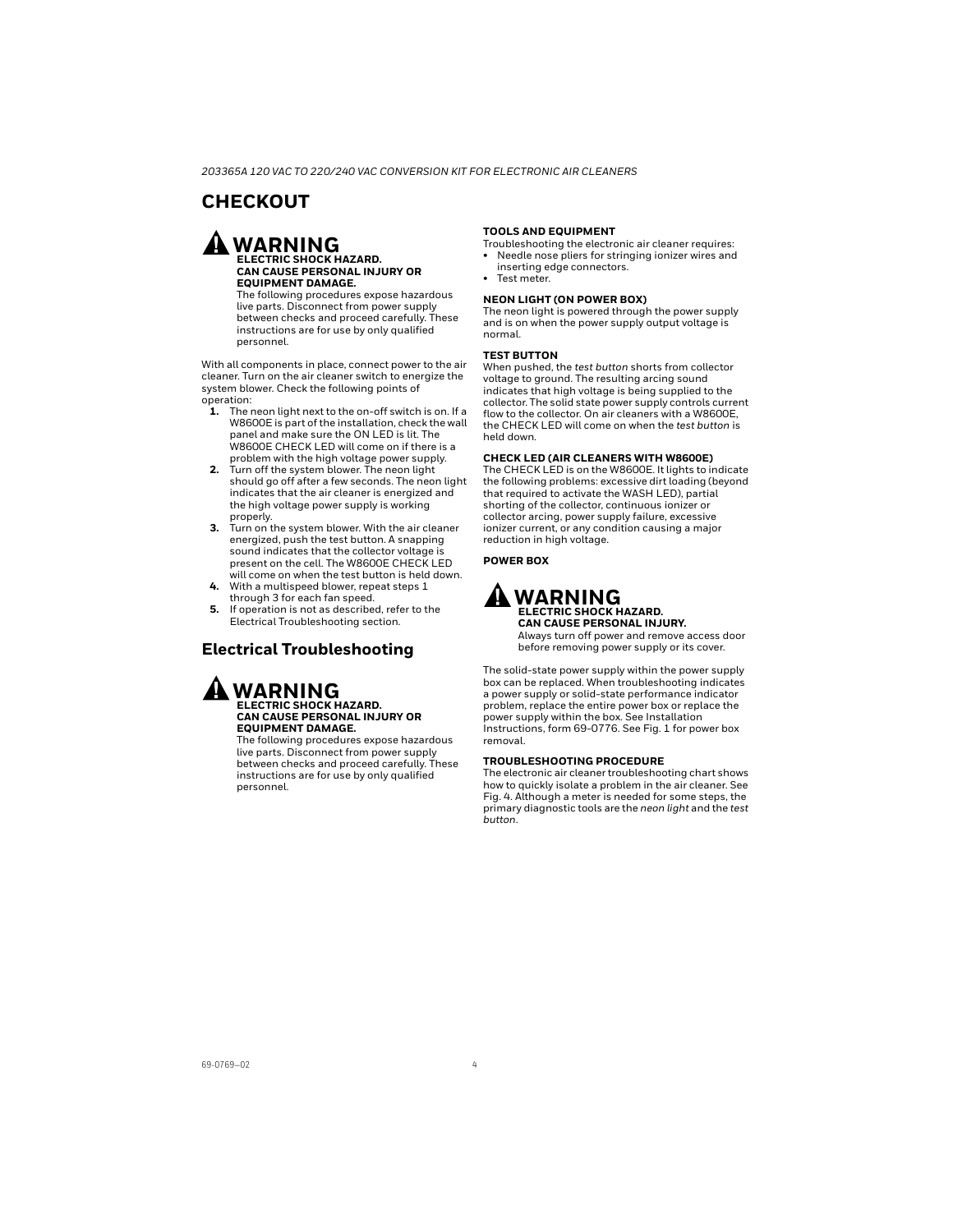# **CHECKOUT**

# **WARNING ELECTRIC SHOCK HAZARD. CAN CAUSE PERSONAL INJURY OR EQUIPMENT DAMAGE.**

The following procedures expose hazardous live parts. Disconnect from power supply between checks and proceed carefully. These instructions are for use by only qualified personnel.

With all components in place, connect power to the air cleaner. Turn on the air cleaner switch to energize the system blower. Check the following points of operation:

- **1.** The neon light next to the on-off switch is on. If a W8600E is part of the installation, check the wall panel and make sure the ON LED is lit. The W8600E CHECK LED will come on if there is a problem with the high voltage power supply.
- **2.** Turn off the system blower. The neon light should go off after a few seconds. The neon light indicates that the air cleaner is energized and the high voltage power supply is working properly.
- **3.** Turn on the system blower. With the air cleaner energized, push the test button. A snapping sound indicates that the collector voltage is present on the cell. The W8600E CHECK LED will come on when the test button is held down.
- **4.** With a multispeed blower, repeat steps 1 through 3 for each fan speed.
- **5.** If operation is not as described, refer to the Electrical Troubleshooting section.

# **Electrical Troubleshooting**



#### **ELECTRIC SHOCK HAZARD. CAN CAUSE PERSONAL INJURY OR EQUIPMENT DAMAGE.**

The following procedures expose hazardous live parts. Disconnect from power supply between checks and proceed carefully. These instructions are for use by only qualified personnel.

## **TOOLS AND EQUIPMENT**

Troubleshooting the electronic air cleaner requires:

- Needle nose pliers for stringing ionizer wires and inserting edge connectors.
- Test meter.

## **NEON LIGHT (ON POWER BOX)**

The neon light is powered through the power supply and is on when the power supply output voltage is normal.

### **TEST BUTTON**

When pushed, the *test button* shorts from collector voltage to ground. The resulting arcing sound indicates that high voltage is being supplied to the collector. The solid state power supply controls current flow to the collector. On air cleaners with a W8600E, the CHECK LED will come on when the *test button* is held down.

# **CHECK LED (AIR CLEANERS WITH W8600E)**

The CHECK LED is on the W8600E. It lights to indicate the following problems: excessive dirt loading (beyond that required to activate the WASH LED), partial shorting of the collector, continuous ionizer or collector arcing, power supply failure, excessive ionizer current, or any condition causing a major reduction in high voltage.

## **POWER BOX**



The solid-state power supply within the power supply box can be replaced. When troubleshooting indicates a power supply or solid-state performance indicator problem, replace the entire power box or replace the .<br>power supply within the box. See Installation Instructions, form 69-0776. See [Fig. 1](#page-0-0) for power box removal.

#### **TROUBLESHOOTING PROCEDURE**

The electronic air cleaner troubleshooting chart shows how to quickly isolate a problem in the air cleaner. See [Fig. 4.](#page-4-0) Although a meter is needed for some steps, the primary diagnostic tools are the *neon light* and the *test button*.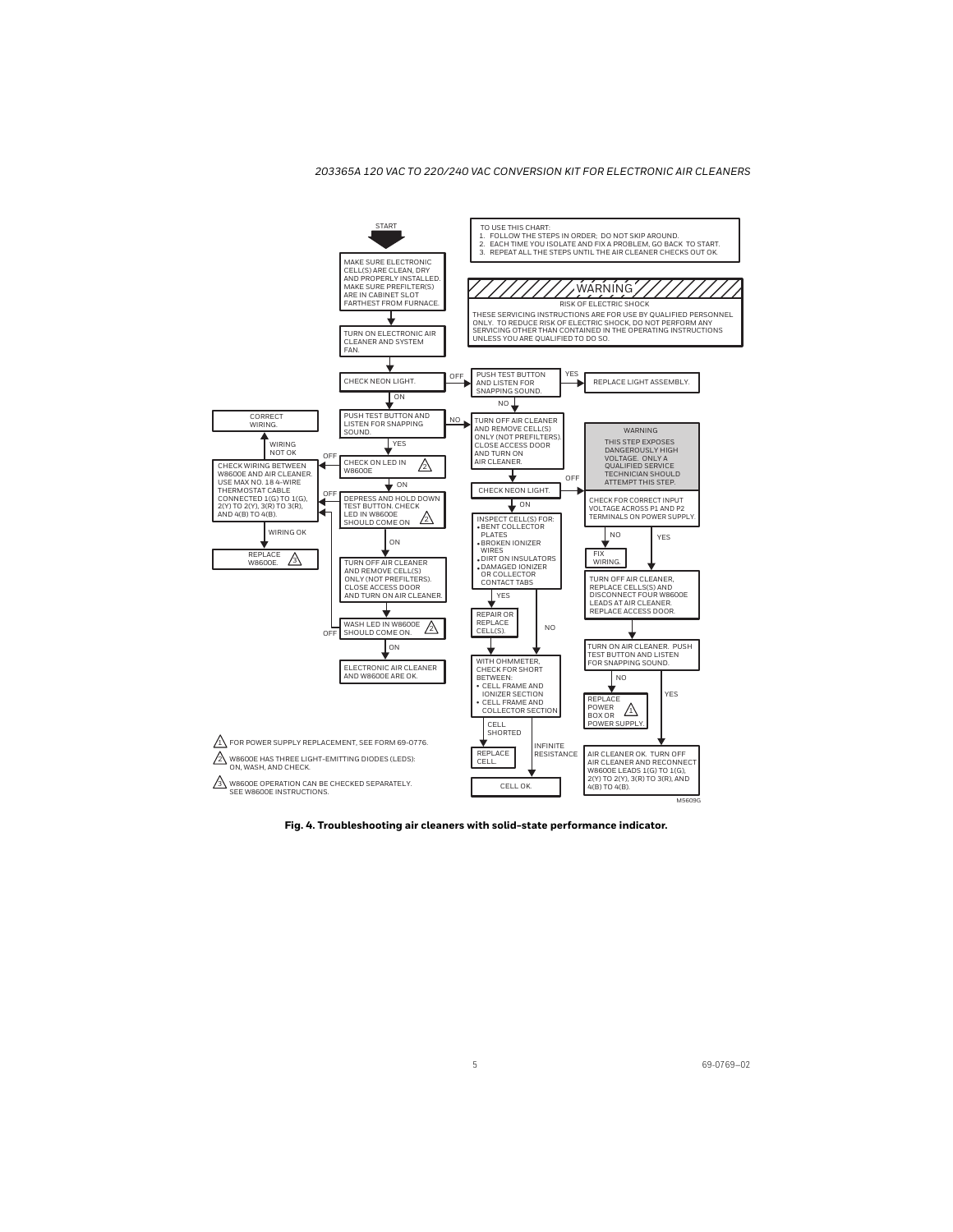## 203365A 120 VAC TO 220/240 VAC CONVERSION KIT FOR ELECTRONIC AIR CLEANERS



<span id="page-4-0"></span>**Fig. 4. Troubleshooting air cleaners with solid-state performance indicator.**